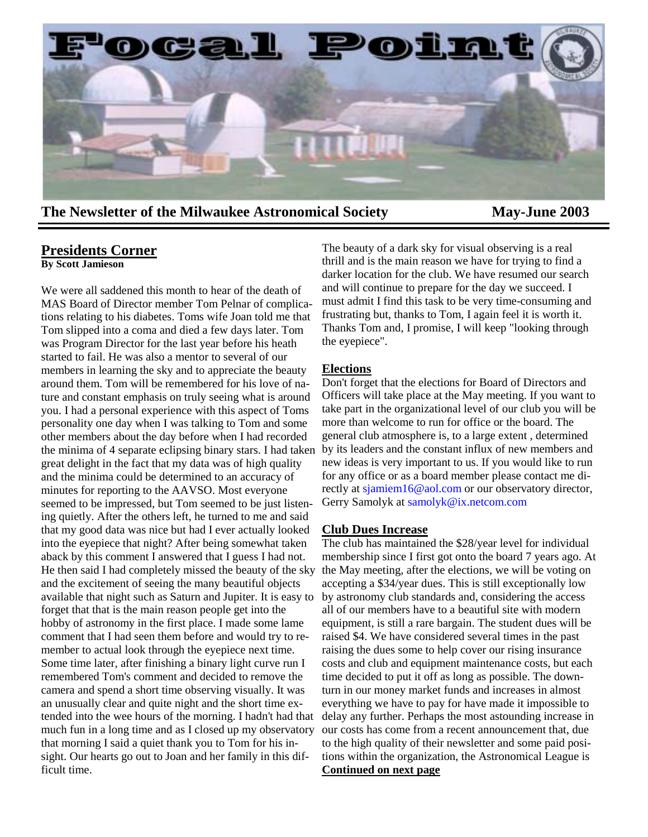

**The Newsletter of the Milwaukee Astronomical Society May-June 2003** 

#### **Presidents Corner**

**By Scott Jamieson**

We were all saddened this month to hear of the death of MAS Board of Director member Tom Pelnar of complications relating to his diabetes. Toms wife Joan told me that Tom slipped into a coma and died a few days later. Tom was Program Director for the last year before his heath started to fail. He was also a mentor to several of our members in learning the sky and to appreciate the beauty around them. Tom will be remembered for his love of nature and constant emphasis on truly seeing what is around you. I had a personal experience with this aspect of Toms personality one day when I was talking to Tom and some other members about the day before when I had recorded great delight in the fact that my data was of high quality and the minima could be determined to an accuracy of minutes for reporting to the AAVSO. Most everyone seemed to be impressed, but Tom seemed to be just listening quietly. After the others left, he turned to me and said that my good data was nice but had I ever actually looked into the eyepiece that night? After being somewhat taken aback by this comment I answered that I guess I had not. He then said I had completely missed the beauty of the sky and the excitement of seeing the many beautiful objects available that night such as Saturn and Jupiter. It is easy to forget that that is the main reason people get into the hobby of astronomy in the first place. I made some lame comment that I had seen them before and would try to remember to actual look through the eyepiece next time. Some time later, after finishing a binary light curve run I remembered Tom's comment and decided to remove the camera and spend a short time observing visually. It was an unusually clear and quite night and the short time extended into the wee hours of the morning. I hadn't had that much fun in a long time and as I closed up my observatory that morning I said a quiet thank you to Tom for his insight. Our hearts go out to Joan and her family in this difficult time.

The beauty of a dark sky for visual observing is a real thrill and is the main reason we have for trying to find a darker location for the club. We have resumed our search and will continue to prepare for the day we succeed. I must admit I find this task to be very time-consuming and frustrating but, thanks to Tom, I again feel it is worth it. Thanks Tom and, I promise, I will keep "looking through the eyepiece".

#### **Elections**

the minima of 4 separate eclipsing binary stars. I had taken by its leaders and the constant influx of new members and Don't forget that the elections for Board of Directors and Officers will take place at the May meeting. If you want to take part in the organizational level of our club you will be more than welcome to run for office or the board. The general club atmosphere is, to a large extent , determined new ideas is very important to us. If you would like to run for any office or as a board member please contact me directly at sjamiem16@aol.com or our observatory director, Gerry Samolyk at samolyk@ix.netcom.com

#### **Club Dues Increase**

The club has maintained the \$28/year level for individual membership since I first got onto the board 7 years ago. At the May meeting, after the elections, we will be voting on accepting a \$34/year dues. This is still exceptionally low by astronomy club standards and, considering the access all of our members have to a beautiful site with modern equipment, is still a rare bargain. The student dues will be raised \$4. We have considered several times in the past raising the dues some to help cover our rising insurance costs and club and equipment maintenance costs, but each time decided to put it off as long as possible. The downturn in our money market funds and increases in almost everything we have to pay for have made it impossible to delay any further. Perhaps the most astounding increase in our costs has come from a recent announcement that, due to the high quality of their newsletter and some paid positions within the organization, the Astronomical League is **Continued on next page**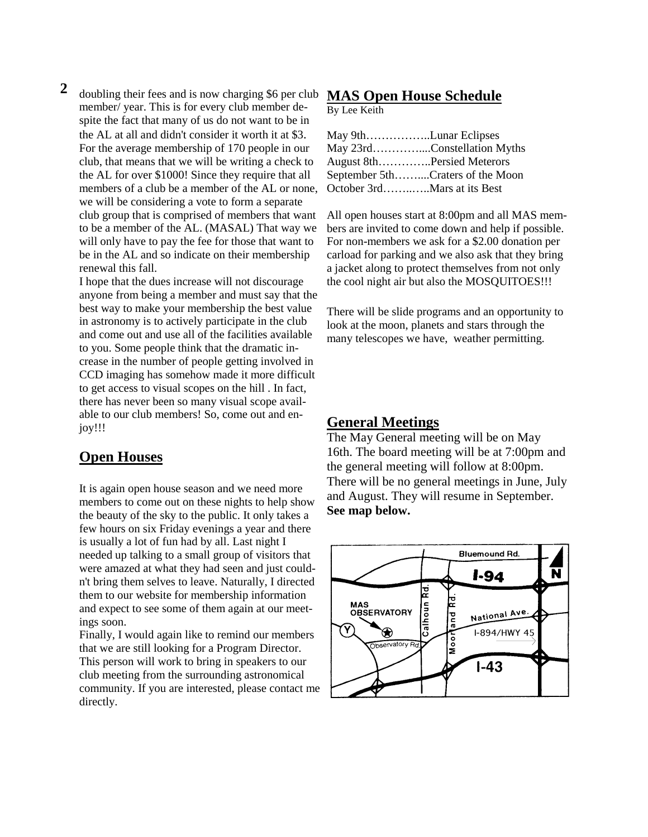**2** doubling their fees and is now charging \$6 per club member/ year. This is for every club member despite the fact that many of us do not want to be in the AL at all and didn't consider it worth it at \$3. For the average membership of 170 people in our club, that means that we will be writing a check to the AL for over \$1000! Since they require that all members of a club be a member of the AL or none, we will be considering a vote to form a separate club group that is comprised of members that want to be a member of the AL. (MASAL) That way we will only have to pay the fee for those that want to be in the AL and so indicate on their membership renewal this fall.

I hope that the dues increase will not discourage anyone from being a member and must say that the best way to make your membership the best value in astronomy is to actively participate in the club and come out and use all of the facilities available to you. Some people think that the dramatic increase in the number of people getting involved in CCD imaging has somehow made it more difficult to get access to visual scopes on the hill . In fact, there has never been so many visual scope available to our club members! So, come out and enjoy!!!

## **Open Houses**

It is again open house season and we need more members to come out on these nights to help show the beauty of the sky to the public. It only takes a few hours on six Friday evenings a year and there is usually a lot of fun had by all. Last night I needed up talking to a small group of visitors that were amazed at what they had seen and just couldn't bring them selves to leave. Naturally, I directed them to our website for membership information and expect to see some of them again at our meetings soon.

Finally, I would again like to remind our members that we are still looking for a Program Director. This person will work to bring in speakers to our club meeting from the surrounding astronomical community. If you are interested, please contact me directly.

#### **MAS Open House Schedule**

By Lee Keith

| May 9thLunar Eclipses            |                             |
|----------------------------------|-----------------------------|
|                                  | May 23rdConstellation Myths |
| August 8thPersied Meterors       |                             |
| September 5thCraters of the Moon |                             |
| October 3rdMars at its Best      |                             |

All open houses start at 8:00pm and all MAS members are invited to come down and help if possible. For non-members we ask for a \$2.00 donation per carload for parking and we also ask that they bring a jacket along to protect themselves from not only the cool night air but also the MOSQUITOES!!!

There will be slide programs and an opportunity to look at the moon, planets and stars through the many telescopes we have, weather permitting.

## **General Meetings**

The May General meeting will be on May 16th. The board meeting will be at 7:00pm and the general meeting will follow at 8:00pm. There will be no general meetings in June, July and August. They will resume in September. **See map below.**

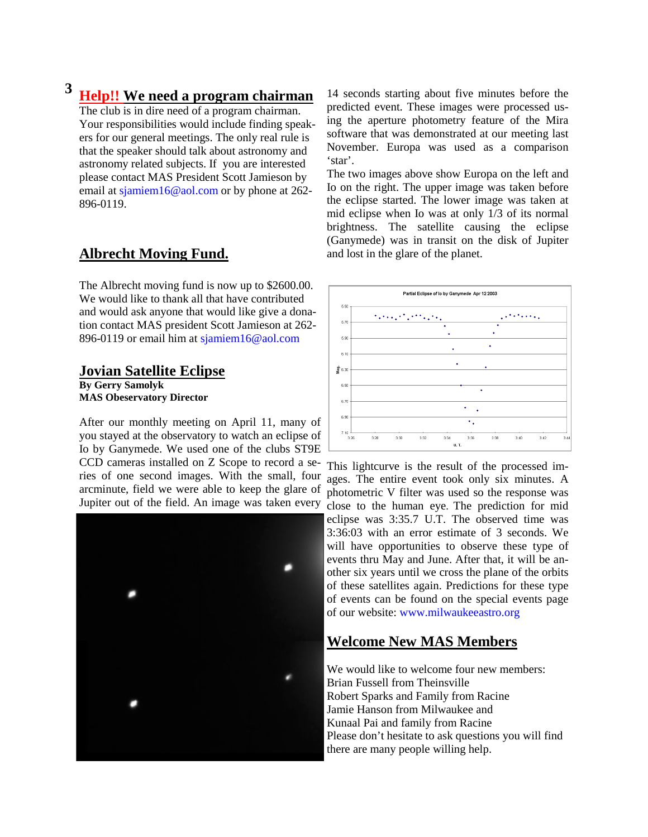# **3 Help!! We need a program chairman**

The club is in dire need of a program chairman. Your responsibilities would include finding speakers for our general meetings. The only real rule is that the speaker should talk about astronomy and astronomy related subjects. If you are interested please contact MAS President Scott Jamieson by email at sjamiem16@aol.com or by phone at 262- 896-0119.

#### **Albrecht Moving Fund.**

The Albrecht moving fund is now up to \$2600.00. We would like to thank all that have contributed and would ask anyone that would like give a donation contact MAS president Scott Jamieson at 262- 896-0119 or email him at sjamiem16@aol.com

#### **Jovian Satellite Eclipse**

**By Gerry Samolyk MAS Obeservatory Director** 

After our monthly meeting on April 11, many of you stayed at the observatory to watch an eclipse of Io by Ganymede. We used one of the clubs ST9E CCD cameras installed on Z Scope to record a series of one second images. With the small, four arcminute, field we were able to keep the glare of Jupiter out of the field. An image was taken every



14 seconds starting about five minutes before the predicted event. These images were processed using the aperture photometry feature of the Mira software that was demonstrated at our meeting last November. Europa was used as a comparison 'star'.

The two images above show Europa on the left and Io on the right. The upper image was taken before the eclipse started. The lower image was taken at mid eclipse when Io was at only 1/3 of its normal brightness. The satellite causing the eclipse (Ganymede) was in transit on the disk of Jupiter and lost in the glare of the planet.



This lightcurve is the result of the processed images. The entire event took only six minutes. A photometric V filter was used so the response was close to the human eye. The prediction for mid eclipse was 3:35.7 U.T. The observed time was 3:36:03 with an error estimate of 3 seconds. We

will have opportunities to observe these type of events thru May and June. After that, it will be another six years until we cross the plane of the orbits of these satellites again. Predictions for these type of events can be found on the special events page of our website: www.milwaukeeastro.org

#### **Welcome New MAS Members**

We would like to welcome four new members: Brian Fussell from Theinsville Robert Sparks and Family from Racine Jamie Hanson from Milwaukee and Kunaal Pai and family from Racine Please don't hesitate to ask questions you will find there are many people willing help.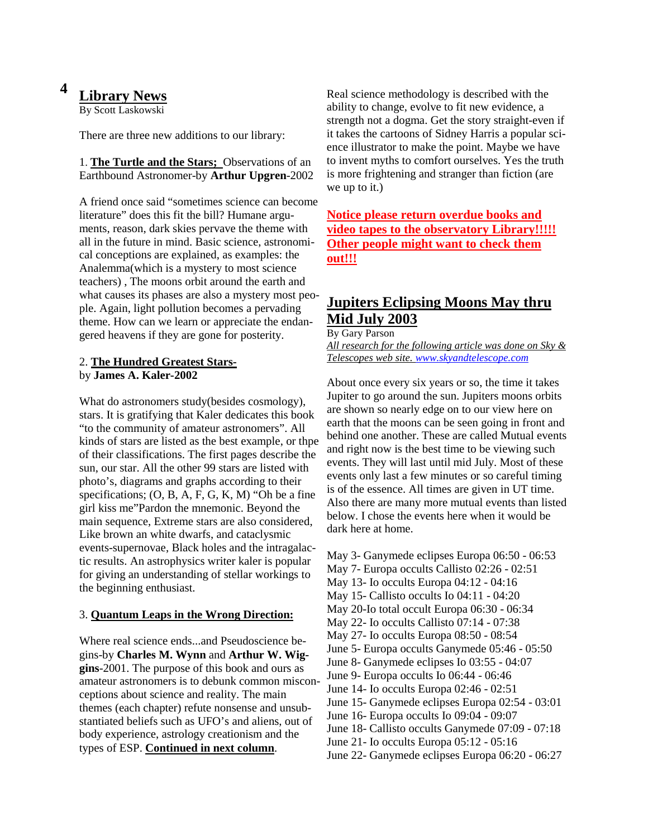#### **Library News 4**

By Scott Laskowski

There are three new additions to our library:

1. **The Turtle and the Stars;** Observations of an Earthbound Astronomer-by **Arthur Upgren**-2002

A friend once said "sometimes science can become literature" does this fit the bill? Humane arguments, reason, dark skies pervave the theme with all in the future in mind. Basic science, astronomical conceptions are explained, as examples: the Analemma(which is a mystery to most science teachers) , The moons orbit around the earth and what causes its phases are also a mystery most people. Again, light pollution becomes a pervading theme. How can we learn or appreciate the endangered heavens if they are gone for posterity.

#### 2. **The Hundred Greatest Stars**by **James A. Kaler-2002**

What do astronomers study(besides cosmology), stars. It is gratifying that Kaler dedicates this book "to the community of amateur astronomers". All kinds of stars are listed as the best example, or thpe of their classifications. The first pages describe the sun, our star. All the other 99 stars are listed with photo's, diagrams and graphs according to their specifications; (O, B, A, F, G, K, M) "Oh be a fine girl kiss me"Pardon the mnemonic. Beyond the main sequence, Extreme stars are also considered, Like brown an white dwarfs, and cataclysmic events-supernovae, Black holes and the intragalactic results. An astrophysics writer kaler is popular for giving an understanding of stellar workings to the beginning enthusiast.

#### 3. **Quantum Leaps in the Wrong Direction:**

Where real science ends...and Pseudoscience begins-by **Charles M. Wynn** and **Arthur W. Wiggins**-2001. The purpose of this book and ours as amateur astronomers is to debunk common misconceptions about science and reality. The main themes (each chapter) refute nonsense and unsubstantiated beliefs such as UFO's and aliens, out of body experience, astrology creationism and the types of ESP. **Continued in next column**.

Real science methodology is described with the ability to change, evolve to fit new evidence, a strength not a dogma. Get the story straight-even if it takes the cartoons of Sidney Harris a popular science illustrator to make the point. Maybe we have to invent myths to comfort ourselves. Yes the truth is more frightening and stranger than fiction (are we up to it.)

**Notice please return overdue books and video tapes to the observatory Library!!!!! Other people might want to check them out!!!**

## **Jupiters Eclipsing Moons May thru Mid July 2003**

By Gary Parson *All research for the following article was done on Sky &* 

*Telescopes web site. www.skyandtelescope.com*

About once every six years or so, the time it takes Jupiter to go around the sun. Jupiters moons orbits are shown so nearly edge on to our view here on earth that the moons can be seen going in front and behind one another. These are called Mutual events and right now is the best time to be viewing such events. They will last until mid July. Most of these events only last a few minutes or so careful timing is of the essence. All times are given in UT time. Also there are many more mutual events than listed below. I chose the events here when it would be dark here at home.

May 3- Ganymede eclipses Europa 06:50 - 06:53 May 7- Europa occults Callisto 02:26 - 02:51 May 13- Io occults Europa 04:12 - 04:16 May 15- Callisto occults Io 04:11 - 04:20 May 20-Io total occult Europa 06:30 - 06:34 May 22- Io occults Callisto 07:14 - 07:38 May 27- Io occults Europa 08:50 - 08:54 June 5- Europa occults Ganymede 05:46 - 05:50 June 8- Ganymede eclipses Io 03:55 - 04:07 June 9- Europa occults Io 06:44 - 06:46 June 14- Io occults Europa 02:46 - 02:51 June 15- Ganymede eclipses Europa 02:54 - 03:01 June 16- Europa occults Io 09:04 - 09:07 June 18- Callisto occults Ganymede 07:09 - 07:18 June 21- Io occults Europa 05:12 - 05:16 June 22- Ganymede eclipses Europa 06:20 - 06:27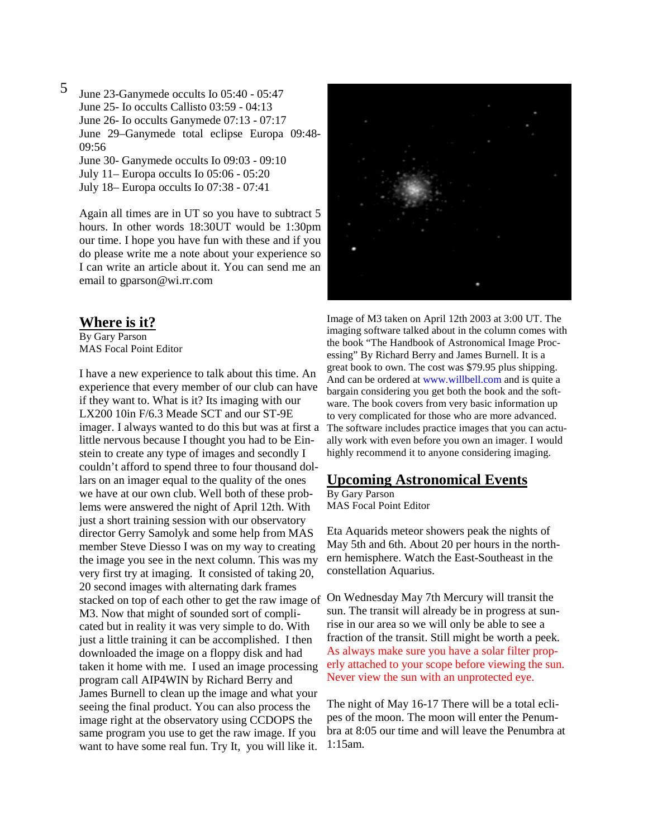June 23-Ganymede occults Io 05:40 - 05:47 June 25- Io occults Callisto 03:59 - 04:13 June 26- Io occults Ganymede 07:13 - 07:17 June 29–Ganymede total eclipse Europa 09:48- 09:56 June 30- Ganymede occults Io 09:03 - 09:10 July 11– Europa occults Io 05:06 - 05:20 July 18– Europa occults Io 07:38 - 07:41 5

Again all times are in UT so you have to subtract 5 hours. In other words 18:30UT would be 1:30pm our time. I hope you have fun with these and if you do please write me a note about your experience so I can write an article about it. You can send me an email to gparson@wi.rr.com

#### **Where is it?**

By Gary Parson MAS Focal Point Editor

I have a new experience to talk about this time. An experience that every member of our club can have if they want to. What is it? Its imaging with our LX200 10in F/6.3 Meade SCT and our ST-9E imager. I always wanted to do this but was at first a little nervous because I thought you had to be Einstein to create any type of images and secondly I couldn't afford to spend three to four thousand dollars on an imager equal to the quality of the ones we have at our own club. Well both of these problems were answered the night of April 12th. With just a short training session with our observatory director Gerry Samolyk and some help from MAS member Steve Diesso I was on my way to creating the image you see in the next column. This was my very first try at imaging. It consisted of taking 20, 20 second images with alternating dark frames stacked on top of each other to get the raw image of M3. Now that might of sounded sort of complicated but in reality it was very simple to do. With just a little training it can be accomplished. I then downloaded the image on a floppy disk and had taken it home with me. I used an image processing program call AIP4WIN by Richard Berry and James Burnell to clean up the image and what your seeing the final product. You can also process the image right at the observatory using CCDOPS the same program you use to get the raw image. If you want to have some real fun. Try It, you will like it.



Image of M3 taken on April 12th 2003 at 3:00 UT. The imaging software talked about in the column comes with the book "The Handbook of Astronomical Image Processing" By Richard Berry and James Burnell. It is a great book to own. The cost was \$79.95 plus shipping. And can be ordered at www.willbell.com and is quite a bargain considering you get both the book and the software. The book covers from very basic information up to very complicated for those who are more advanced. The software includes practice images that you can actually work with even before you own an imager. I would highly recommend it to anyone considering imaging.

#### **Upcoming Astronomical Events**

By Gary Parson MAS Focal Point Editor

Eta Aquarids meteor showers peak the nights of May 5th and 6th. About 20 per hours in the northern hemisphere. Watch the East-Southeast in the constellation Aquarius.

On Wednesday May 7th Mercury will transit the sun. The transit will already be in progress at sunrise in our area so we will only be able to see a fraction of the transit. Still might be worth a peek. As always make sure you have a solar filter properly attached to your scope before viewing the sun. Never view the sun with an unprotected eye.

The night of May 16-17 There will be a total eclipes of the moon. The moon will enter the Penumbra at 8:05 our time and will leave the Penumbra at 1:15am.